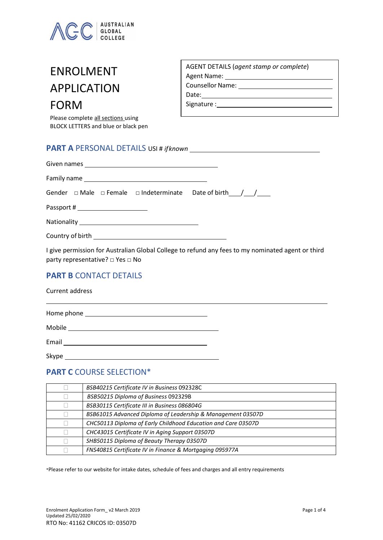

# ENROLMENT APPLICATION FORM

Please complete all sections using BLOCK LETTERS and blue or black pen

| AGENT DETAILS (agent stamp or complete) |
|-----------------------------------------|
| Agent Name:                             |
| <b>Counsellor Name:</b>                 |
| Date:                                   |
| Signature :                             |

### **PART A** PERSONAL DETAILS USI # *ifknown*

|  | Passport # ________________________ | Gender $\Box$ Male $\Box$ Female $\Box$ Indeterminate Date of birth / / |
|--|-------------------------------------|-------------------------------------------------------------------------|

I give permission for Australian Global College to refund any fees to my nominated agent or third party representative? □ Yes □ No

## **PART B CONTACT DETAILS**

| Current address                                                                                                                    |  |
|------------------------------------------------------------------------------------------------------------------------------------|--|
| Home phone<br><u> 1980 - Jan Sterling von de Sterling von de Sterling von de Sterling von de Sterling von de Sterling von de S</u> |  |
| Mobile                                                                                                                             |  |
| Email                                                                                                                              |  |

Skype \_\_\_\_\_\_\_\_

#### **PART C** COURSE SELECTION\*

| BSB40215 Certificate IV in Business 092328C                   |
|---------------------------------------------------------------|
| BSB50215 Diploma of Business 092329B                          |
| BSB30115 Certificate III in Business 086804G                  |
| BSB61015 Advanced Diploma of Leadership & Management 03507D   |
| CHC50113 Diploma of Early Childhood Education and Care 03507D |
| CHC43015 Certificate IV in Aging Support 03507D               |
| SHB50115 Diploma of Beauty Therapy 03507D                     |
| FNS40815 Certificate IV in Finance & Mortgaging 095977A       |

\*Please refer to our website for intake dates, schedule of fees and charges and all entry requirements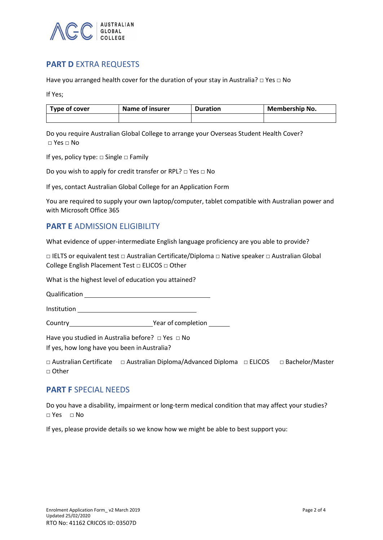

# **PART D EXTRA REQUESTS**

Have you arranged health cover for the duration of your stay in Australia?  $\Box$  Yes  $\Box$  No

If Yes;

| Type of cover | Name of insurer | <b>Duration</b> | Membership No. |  |
|---------------|-----------------|-----------------|----------------|--|
|               |                 |                 |                |  |

Do you require Australian Global College to arrange your Overseas Student Health Cover?  $\Box$  Yes  $\Box$  No

If yes, policy type: □ Single □ Family

Do you wish to apply for credit transfer or RPL? □ Yes □ No

If yes, contact Australian Global College for an Application Form

You are required to supply your own laptop/computer, tablet compatible with Australian power and with Microsoft Office 365

## **PART E** ADMISSION ELIGIBILITY

What evidence of upper-intermediate English language proficiency are you able to provide?

□ IELTS or equivalent test □ Australian Certificate/Diploma □ Native speaker □ Australian Global College English Placement Test □ ELICOS □ Other

What is the highest level of education you attained?

Qualification

Institution

Country **Year of completion** 

Have you studied in Australia before? □ Yes □ No

If yes, how long have you been inAustralia?

|              | $\Box$ Australian Certificate $\Box$ Australian Diploma/Advanced Diploma $\Box$ ELICOS $\Box$ Bachelor/Master |  |
|--------------|---------------------------------------------------------------------------------------------------------------|--|
| $\Box$ Other |                                                                                                               |  |

#### **PART F** SPECIAL NEEDS

Do you have a disability, impairment or long-term medical condition that may affect your studies? □ Yes □ No

If yes, please provide details so we know how we might be able to best support you: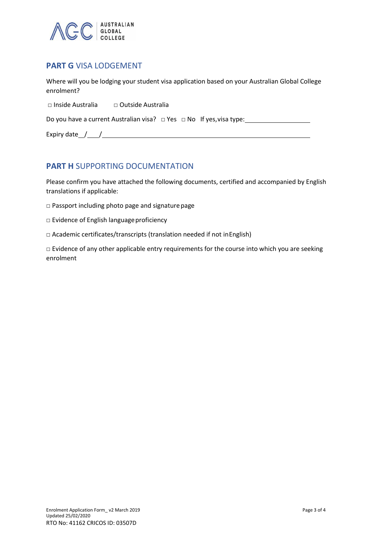

# **PART G** VISA LODGEMENT

Where will you be lodging your student visa application based on your Australian Global College enrolment?

□ Inside Australia □ Outside Australia

Do you have a current Australian visa? □ Yes □ No If yes, visa type:

Expiry date / /

## **PART H** SUPPORTING DOCUMENTATION

Please confirm you have attached the following documents, certified and accompanied by English translations if applicable:

- □ Passport including photo page and signaturepage
- □ Evidence of English language proficiency
- □ Academic certificates/transcripts (translation needed if not inEnglish)

□ Evidence of any other applicable entry requirements for the course into which you are seeking enrolment